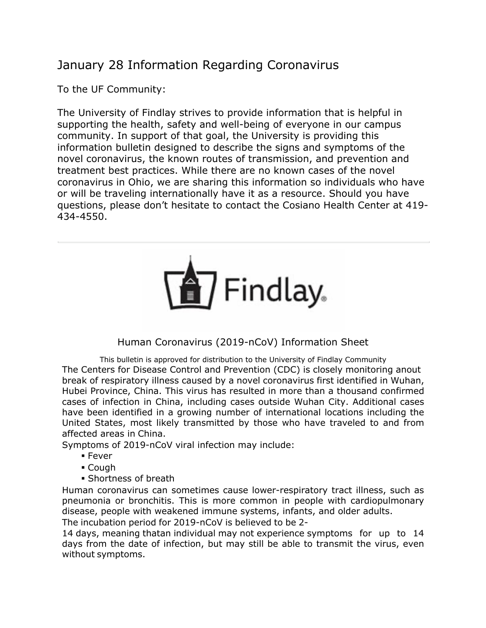## January 28 Information Regarding Coronavirus

To the UF Community:

The University of Findlay strives to provide information that is helpful in supporting the health, safety and well-being of everyone in our campus community. In support of that goal, the University is providing this information bulletin designed to describe the signs and symptoms of the novel coronavirus, the known routes of transmission, and prevention and treatment best practices. While there are no known cases of the novel coronavirus in Ohio, we are sharing this information so individuals who have or will be traveling internationally have it as a resource. Should you have questions, please don't hesitate to contact the Cosiano Health Center at 419- 434-4550.



## Human Coronavirus (2019-nCoV) Information Sheet

This bulletin is approved for distribution to the University of Findlay Community The Centers for Disease Control and Prevention (CDC) is closely monitoring anout break of respiratory illness caused by a novel coronavirus first identified in Wuhan, Hubei Province, China. This virus has resulted in more than a thousand confirmed cases of infection in China, including cases outside Wuhan City. Additional cases have been identified in a growing number of international locations including the United States, most likely transmitted by those who have traveled to and from affected areas in China.

Symptoms of 2019-nCoV viral infection may include:

- § Fever
- § Cough
- § Shortness of breath

Human coronavirus can sometimes cause lower-respiratory tract illness, such as pneumonia or bronchitis. This is more common in people with cardiopulmonary disease, people with weakened immune systems, infants, and older adults.

The incubation period for 2019-nCoV is believed to be 2-

14 days, meaning thatan individual may not experience symptoms for up to 14 days from the date of infection, but may still be able to transmit the virus, even without symptoms.